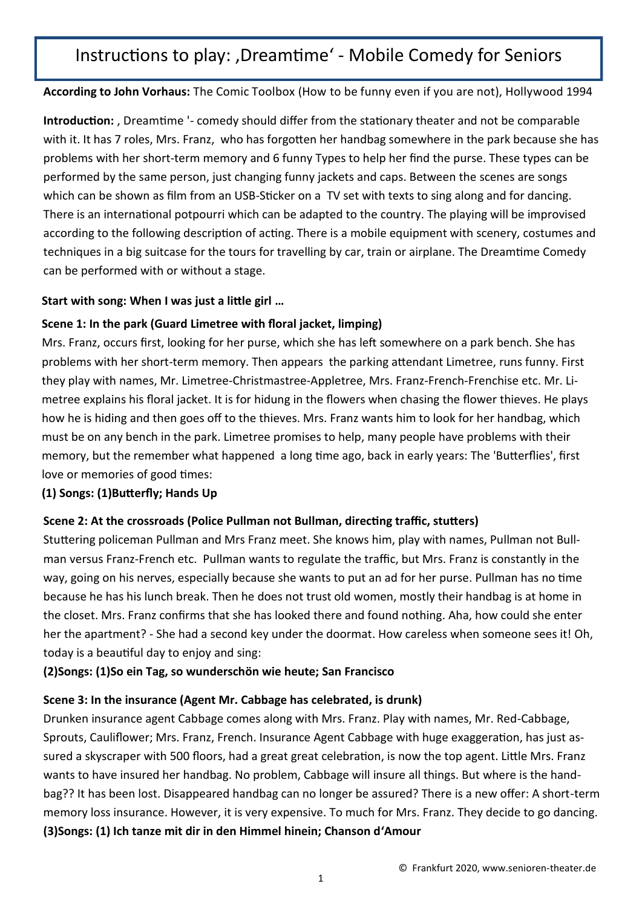# Instructions to play: , Dreamtime' - Mobile Comedy for Seniors

**According to John Vorhaus:** The Comic Toolbox (How to be funny even if you are not), Hollywood 1994

**Introduction:** , Dreamtime '- comedy should differ from the stationary theater and not be comparable with it. It has 7 roles, Mrs. Franz, who has forgotten her handbag somewhere in the park because she has problems with her short-term memory and 6 funny Types to help her find the purse. These types can be performed by the same person, just changing funny jackets and caps. Between the scenes are songs which can be shown as film from an USB-Sticker on a TV set with texts to sing along and for dancing. There is an international potpourri which can be adapted to the country. The playing will be improvised according to the following description of acting. There is a mobile equipment with scenery, costumes and techniques in a big suitcase for the tours for travelling by car, train or airplane. The Dreamtime Comedy can be performed with or without a stage.

### **Start with song: When I was just a little girl …**

# **Scene 1: In the park (Guard Limetree with floral jacket, limping)**

Mrs. Franz, occurs first, looking for her purse, which she has left somewhere on a park bench. She has problems with her short-term memory. Then appears the parking attendant Limetree, runs funny. First they play with names, Mr. Limetree-Christmastree-Appletree, Mrs. Franz-French-Frenchise etc. Mr. Limetree explains his floral jacket. It is for hidung in the flowers when chasing the flower thieves. He plays how he is hiding and then goes off to the thieves. Mrs. Franz wants him to look for her handbag, which must be on any bench in the park. Limetree promises to help, many people have problems with their memory, but the remember what happened a long time ago, back in early years: The 'Butterflies', first love or memories of good times:

# **(1) Songs: (1)Butterfly; Hands Up**

# **Scene 2: At the crossroads (Police Pullman not Bullman, directing traffic, stutters)**

Stuttering policeman Pullman and Mrs Franz meet. She knows him, play with names, Pullman not Bullman versus Franz-French etc. Pullman wants to regulate the traffic, but Mrs. Franz is constantly in the way, going on his nerves, especially because she wants to put an ad for her purse. Pullman has no time because he has his lunch break. Then he does not trust old women, mostly their handbag is at home in the closet. Mrs. Franz confirms that she has looked there and found nothing. Aha, how could she enter her the apartment? - She had a second key under the doormat. How careless when someone sees it! Oh, today is a beautiful day to enjoy and sing:

# **(2)Songs: (1)So ein Tag, so wunderschön wie heute; San Francisco**

# **Scene 3: In the insurance (Agent Mr. Cabbage has celebrated, is drunk)**

Drunken insurance agent Cabbage comes along with Mrs. Franz. Play with names, Mr. Red-Cabbage, Sprouts, Cauliflower; Mrs. Franz, French. Insurance Agent Cabbage with huge exaggeration, has just assured a skyscraper with 500 floors, had a great great celebration, is now the top agent. Little Mrs. Franz wants to have insured her handbag. No problem, Cabbage will insure all things. But where is the handbag?? It has been lost. Disappeared handbag can no longer be assured? There is a new offer: A short-term memory loss insurance. However, it is very expensive. To much for Mrs. Franz. They decide to go dancing. **(3)Songs: (1) Ich tanze mit dir in den Himmel hinein; Chanson d'Amour**